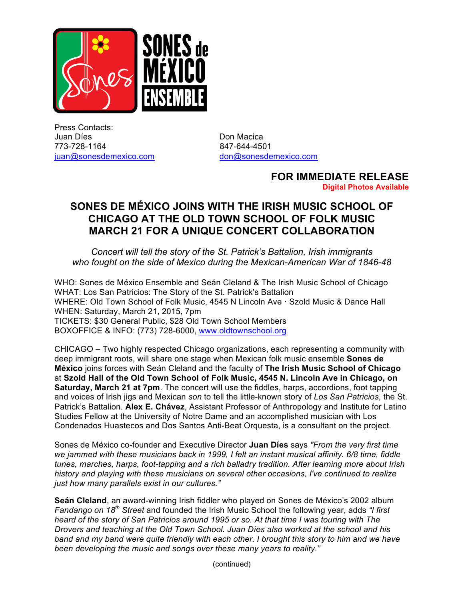

Press Contacts: Juan Díes **Don Macica** 773-728-1164 847-644-4501 juan@sonesdemexico.com don@sonesdemexico.com

## **FOR IMMEDIATE RELEASE**

**Digital Photos Available**

## **SONES DE MÉXICO JOINS WITH THE IRISH MUSIC SCHOOL OF CHICAGO AT THE OLD TOWN SCHOOL OF FOLK MUSIC MARCH 21 FOR A UNIQUE CONCERT COLLABORATION**

*Concert will tell the story of the St. Patrick's Battalion, Irish immigrants who fought on the side of Mexico during the Mexican-American War of 1846-48*

WHO: Sones de México Ensemble and Seán Cleland & The Irish Music School of Chicago WHAT: Los San Patricios: The Story of the St. Patrick's Battalion WHERE: Old Town School of Folk Music, 4545 N Lincoln Ave · Szold Music & Dance Hall WHEN: Saturday, March 21, 2015, 7pm TICKETS: \$30 General Public, \$28 Old Town School Members BOXOFFICE & INFO: (773) 728-6000, www.oldtownschool.org

CHICAGO – Two highly respected Chicago organizations, each representing a community with deep immigrant roots, will share one stage when Mexican folk music ensemble **Sones de México** joins forces with Seán Cleland and the faculty of **The Irish Music School of Chicago** at **Szold Hall of the Old Town School of Folk Music, 4545 N. Lincoln Ave in Chicago, on Saturday, March 21 at 7pm**. The concert will use the fiddles, harps, accordions, foot tapping and voices of Irish jigs and Mexican *son* to tell the little-known story of *Los San Patricios*, the St. Patrick's Battalion. **Alex E. Chávez**, Assistant Professor of Anthropology and Institute for Latino Studies Fellow at the University of Notre Dame and an accomplished musician with Los Condenados Huastecos and Dos Santos Anti-Beat Orquesta, is a consultant on the project.

Sones de México co-founder and Executive Director **Juan Díes** says *"From the very first time we jammed with these musicians back in 1999, I felt an instant musical affinity. 6/8 time, fiddle tunes, marches, harps, foot-tapping and a rich balladry tradition. After learning more about Irish history and playing with these musicians on several other occasions, I've continued to realize just how many parallels exist in our cultures."*

**Seán Cleland**, an award-winning Irish fiddler who played on Sones de México's 2002 album *Fandango on 18th Street* and founded the Irish Music School the following year, adds *"I first heard of the story of San Patricios around 1995 or so. At that time I was touring with The Drovers and teaching at the Old Town School. Juan Díes also worked at the school and his band and my band were quite friendly with each other. I brought this story to him and we have been developing the music and songs over these many years to reality."*